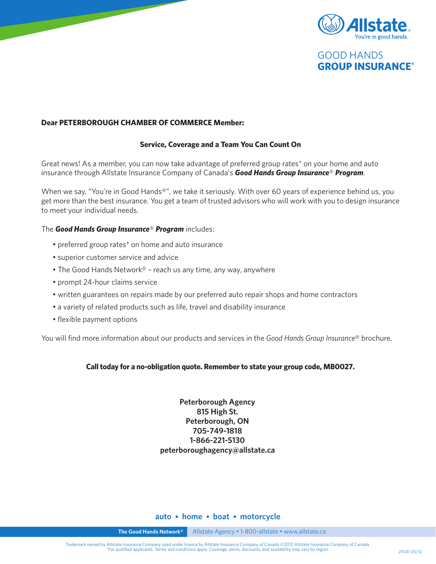



### **Dear PETERBOROUGH CHAMBER OF COMMERCE Member:**

### **Service, Coverage and a Team You Can Count On**

Great news! As a member, you can now take advantage of preferred group rates\* on your home and auto insurance through Allstate Insurance Company of Canada's *Good Hands Group Insurance*® *Program*.

When we say, "You're in Good Hands®", we take it seriously. With over 60 years of experience behind us, you get more than the best insurance. You get a team of trusted advisors who will work with you to design insurance to meet your individual needs.

### The *Good Hands Group Insurance*® *Program* includes:

- preferred group rates\* on home and auto insurance
- superior customer service and advice
- The Good Hands Network® reach us any time, any way, anywhere
- prompt 24-hour claims service
- written guarantees on repairs made by our preferred auto repair shops and home contractors
- a variety of related products such as life, travel and disability insurance
- flexible payment options

You will find more information about our products and services in the *Good Hands Group Insurance*® brochure.

### **Call today for a no-obligation quote. Remember to state your group code, MB0027.**

**Peterborough Agency 815 High St. Peterborough, ON 705-749-1818 1-866-221-5130 peterboroughagency@allstate.ca** 

### **auto • home • boat • motorcycle**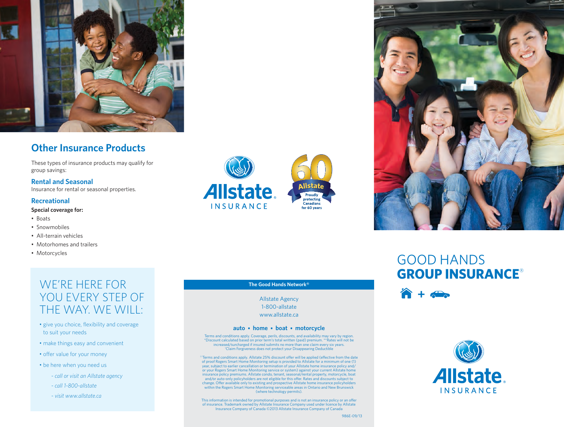

### **Other Insurance Products**

These types of insurance products may qualify for group savings:

**Rental and Seasonal** Insurance for rental or seasonal properties.

#### **Recreational**

#### **Special coverage for:**

- Boats
- Snowmobiles
- All-terrain vehicles
- Motorhomes and trailers
- Motorcycles

### WF'RE HERE FOR YOU EVERY STEP OF the Way. We will:

- give you choice, flexibility and coverage to suit your needs
- make things easy and convenient
- offer value for your money
- be here when you need us
	- *- call or visit an Allstate agency*
	- *- call 1-800-allstate*
	- *- visit www.allstate.ca*



### **The Good Hands Network®**

Allstate Agency 1-800-allstate www.allstate.ca

#### **auto • home • boat • motorcycle**

Terms and conditions apply. Coverage, perils, discounts, and availability may vary by region. \*Discount calculated based on prior term's total written (paid) premium. \*\*Rates will not be increased/surcharged if insured submits no more than one claim every six years. † Claim Forgiveness does not protect your Disappearing Deductible

<sup>††</sup>Terms and conditions apply. Allstate 25% discount offer will be applied (effective from the date of proof Rogers Smart Home Monitoring setup is provided to Allstate for a minimum of one (1) year, subject to earlier cancellation or termination of your Allstate home insurance policy and/ or your Rogers Smart Home Monitoring service or system) against your current Allstate home insurance policy premiums. Allstate condo, tenant, seasonal/rental property, motorcycle, boat and/or auto-only policyholders are not eligible for this offer. Rates and discounts subject to change. Offer available only to existing and prospective Allstate home insurance policyholders within the Rogers Smart Home Monitoring serviceable areas in Ontario and New Brunswick (where technology permits).

This information is intended for promotional purposes and is not an insurance policy or an offer of insurance. Trademark owned by Allstate Insurance Company used under licence by Allstate Insurance Company of Canada ©2013 Allstate Insurance Company of Canada



## GOOD HANDS **GROUP INSURANCE**®